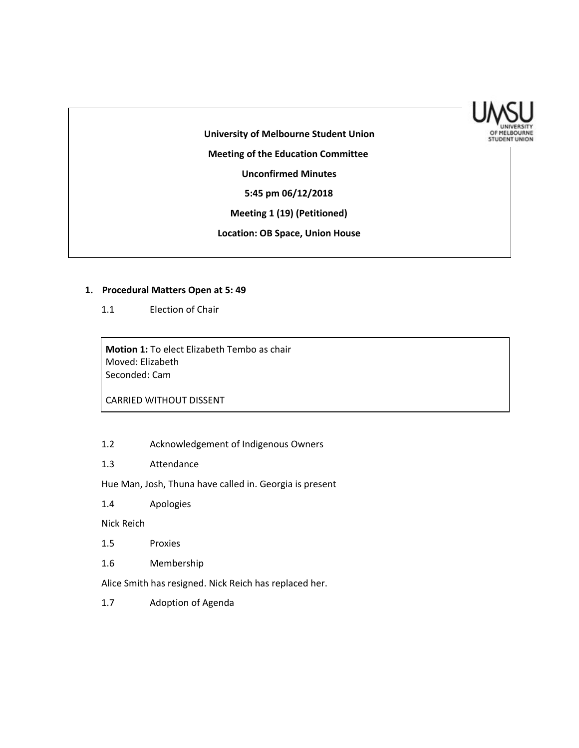

**University of Melbourne Student Union Meeting of the Education Committee Unconfirmed Minutes 5:45 pm 06/12/2018 Meeting 1 (19) (Petitioned)**

**Location: OB Space, Union House**

### **1. Procedural Matters Open at 5: 49**

1.1 Election of Chair

**Motion 1:** To elect Elizabeth Tembo as chair Moved: Elizabeth Seconded: Cam

CARRIED WITHOUT DISSENT

- 1.2 Acknowledgement of Indigenous Owners
- 1.3 Attendance

Hue Man, Josh, Thuna have called in. Georgia is present

1.4 Apologies

Nick Reich

- 1.5 Proxies
- 1.6 Membership

Alice Smith has resigned. Nick Reich has replaced her.

1.7 Adoption of Agenda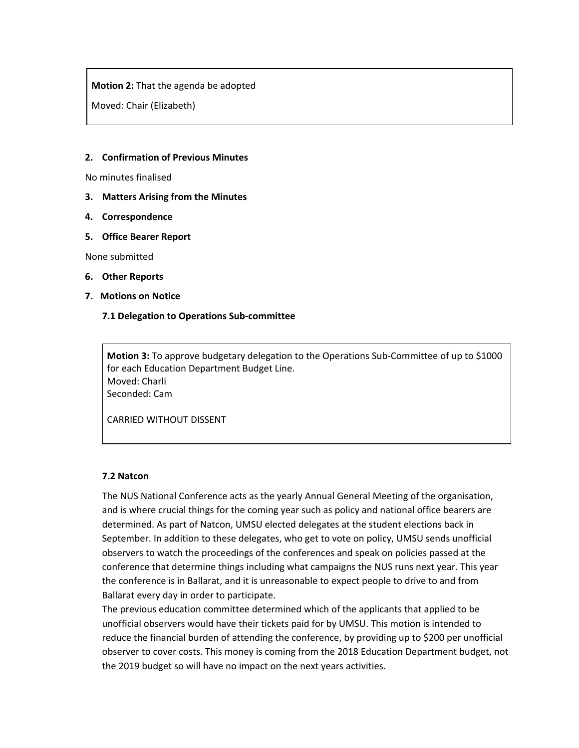**Motion 2:** That the agenda be adopted

Moved: Chair (Elizabeth)

## **2. Confirmation of Previous Minutes**

No minutes finalised

- **3. Matters Arising from the Minutes**
- **4. Correspondence**
- **5. Office Bearer Report**

None submitted

- **6. Other Reports**
- **7. Motions on Notice**

### **7.1 Delegation to Operations Sub-committee**

**Motion 3:** To approve budgetary delegation to the Operations Sub-Committee of up to \$1000 for each Education Department Budget Line. Moved: Charli Seconded: Cam

CARRIED WITHOUT DISSENT

#### **7.2 Natcon**

The NUS National Conference acts as the yearly Annual General Meeting of the organisation, and is where crucial things for the coming year such as policy and national office bearers are determined. As part of Natcon, UMSU elected delegates at the student elections back in September. In addition to these delegates, who get to vote on policy, UMSU sends unofficial observers to watch the proceedings of the conferences and speak on policies passed at the conference that determine things including what campaigns the NUS runs next year. This year the conference is in Ballarat, and it is unreasonable to expect people to drive to and from Ballarat every day in order to participate.

The previous education committee determined which of the applicants that applied to be unofficial observers would have their tickets paid for by UMSU. This motion is intended to reduce the financial burden of attending the conference, by providing up to \$200 per unofficial observer to cover costs. This money is coming from the 2018 Education Department budget, not the 2019 budget so will have no impact on the next years activities.